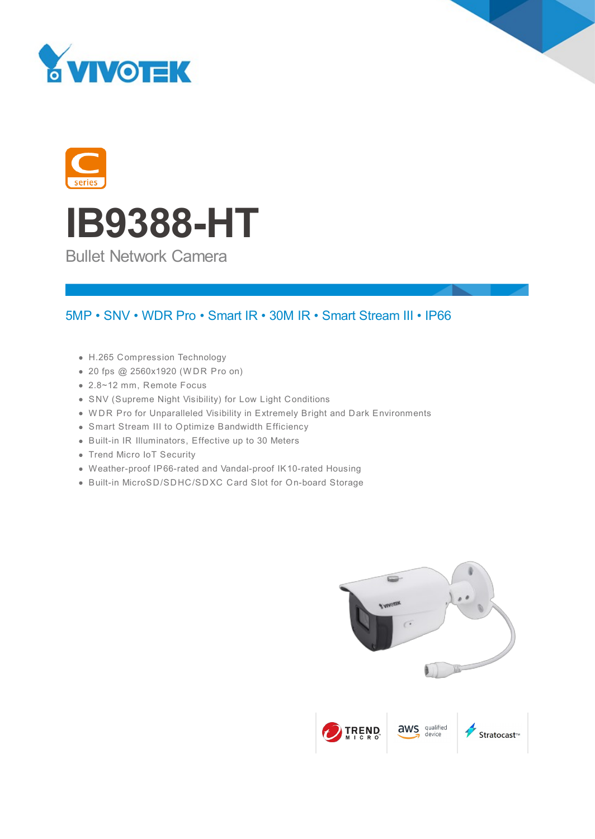





Bullet Network Camera

### 5MP • SNV • WDR Pro • Smart IR • 30M IR • Smart Stream III • IP66

- H.265 Compression Technology
- 20 fps @ 2560x1920 (W DR Pro on)
- 2.8~12 mm, Remote Focus
- SNV (Supreme Night Visibility) for Low Light Conditions
- W DR Pro for Unparalleled Visibility in Extremely Bright and Dark Environments
- Smart Stream III to Optimize Bandwidth Efficiency
- Built-in IR Illuminators, Effective up to 30 Meters
- Trend Micro IoT Security
- Weather-proof IP66-rated and Vandal-proof IK10-rated Housing
- Built-in MicroSD/SDHC/SDXC Card Slot for On-board Storage

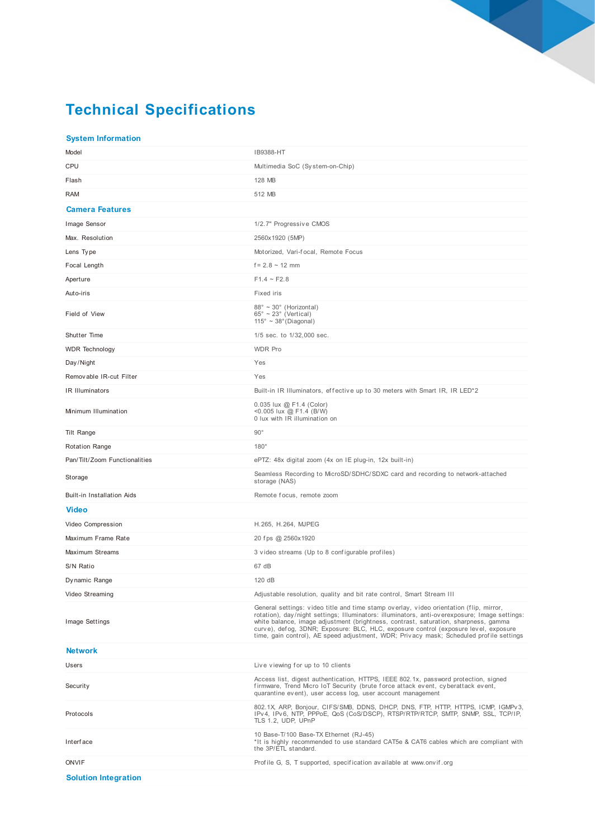# **Technical Specifications**

#### **System Information**

| Model                             | IB9388-HT                                                                                                                                                                                                                                                                                                                                                                                                                                                        |
|-----------------------------------|------------------------------------------------------------------------------------------------------------------------------------------------------------------------------------------------------------------------------------------------------------------------------------------------------------------------------------------------------------------------------------------------------------------------------------------------------------------|
| CPU                               | Multimedia SoC (System-on-Chip)                                                                                                                                                                                                                                                                                                                                                                                                                                  |
| Flash                             | 128 MB                                                                                                                                                                                                                                                                                                                                                                                                                                                           |
| RAM                               | 512 MB                                                                                                                                                                                                                                                                                                                                                                                                                                                           |
| <b>Camera Features</b>            |                                                                                                                                                                                                                                                                                                                                                                                                                                                                  |
| Image Sensor                      | 1/2.7" Progressive CMOS                                                                                                                                                                                                                                                                                                                                                                                                                                          |
| Max. Resolution                   | 2560x1920 (5MP)                                                                                                                                                                                                                                                                                                                                                                                                                                                  |
| Lens Type                         | Motorized, Vari-focal, Remote Focus                                                                                                                                                                                                                                                                                                                                                                                                                              |
| Focal Length                      | $f = 2.8 \sim 12$ mm                                                                                                                                                                                                                                                                                                                                                                                                                                             |
| Aperture                          | $F1.4 \sim F2.8$                                                                                                                                                                                                                                                                                                                                                                                                                                                 |
| Auto-iris                         | Fixed iris                                                                                                                                                                                                                                                                                                                                                                                                                                                       |
| Field of View                     | $88^\circ \sim 30^\circ$ (Horizontal)<br>$65^{\circ} \sim 23^{\circ}$ (Vertical)<br>$115^\circ \sim 38^\circ$ (Diagonal)                                                                                                                                                                                                                                                                                                                                         |
| Shutter Time                      | 1/5 sec. to 1/32,000 sec.                                                                                                                                                                                                                                                                                                                                                                                                                                        |
| <b>WDR Technology</b>             | <b>WDR Pro</b>                                                                                                                                                                                                                                                                                                                                                                                                                                                   |
| Day/Night                         | Yes                                                                                                                                                                                                                                                                                                                                                                                                                                                              |
| Removable IR-cut Filter           | Yes                                                                                                                                                                                                                                                                                                                                                                                                                                                              |
| IR Illuminators                   | Built-in IR Illuminators, effective up to 30 meters with Smart IR, IR LED <sup>*2</sup>                                                                                                                                                                                                                                                                                                                                                                          |
| Minimum Illumination              | 0.035 lux @ F1.4 (Color)<br><0.005 lux @ F1.4 (B/W)<br>0 lux with IR illumination on                                                                                                                                                                                                                                                                                                                                                                             |
| Tilt Range                        | $90^{\circ}$                                                                                                                                                                                                                                                                                                                                                                                                                                                     |
| <b>Rotation Range</b>             | $180^\circ$                                                                                                                                                                                                                                                                                                                                                                                                                                                      |
| Pan/Tilt/Zoom Functionalities     | ePTZ: 48x digital zoom (4x on IE plug-in, 12x built-in)                                                                                                                                                                                                                                                                                                                                                                                                          |
| Storage                           | Seamless Recording to MicroSD/SDHC/SDXC card and recording to network-attached<br>storage (NAS)                                                                                                                                                                                                                                                                                                                                                                  |
| <b>Built-in Installation Aids</b> | Remote focus, remote zoom                                                                                                                                                                                                                                                                                                                                                                                                                                        |
| <b>Video</b>                      |                                                                                                                                                                                                                                                                                                                                                                                                                                                                  |
| Video Compression                 | H.265, H.264, MJPEG                                                                                                                                                                                                                                                                                                                                                                                                                                              |
| Maximum Frame Rate                | 20 fps @ 2560x1920                                                                                                                                                                                                                                                                                                                                                                                                                                               |
| Maximum Streams                   | 3 video streams (Up to 8 configurable profiles)                                                                                                                                                                                                                                                                                                                                                                                                                  |
| S/N Ratio                         | 67 dB                                                                                                                                                                                                                                                                                                                                                                                                                                                            |
| Dy namic Range                    | 120 dB                                                                                                                                                                                                                                                                                                                                                                                                                                                           |
| Video Streaming                   | Adjustable resolution, quality and bit rate control, Smart Stream III                                                                                                                                                                                                                                                                                                                                                                                            |
| Image Settings                    | General settings: video title and time stamp overlay, video orientation (flip, mirror,<br>rotation), day/night settings; Illuminators: illuminators, anti-overexposure; Image settings:<br>white balance, image adjustment (brightness, contrast, saturation, sharpness, gamma<br>curve), defog, 3DNR; Exposure: BLC, HLC, exposure control (exposure level, exposure<br>time, gain control), AE speed adjustment, WDR; Privacy mask; Scheduled profile settings |
| <b>Network</b>                    |                                                                                                                                                                                                                                                                                                                                                                                                                                                                  |
| Users                             |                                                                                                                                                                                                                                                                                                                                                                                                                                                                  |
|                                   | Live viewing for up to 10 clients                                                                                                                                                                                                                                                                                                                                                                                                                                |
| Security                          | Access list, digest authentication, HTTPS, IEEE 802.1x, password protection, signed<br>firmware, Trend Micro IoT Security (brute force attack event, cyberattack event,<br>quarantine event), user access log, user account management                                                                                                                                                                                                                           |
| Protocols                         | 802.1X, ARP, Bonjour, CIFS/SMB, DDNS, DHCP, DNS, FTP, HTTP, HTTPS, ICMP, IGMPv3,<br>IPv4, IPv6, NTP, PPPoE, QoS (CoS/DSCP), RTSP/RTP/RTCP, SMTP, SNMP, SSL, TCP/IP,<br>TLS 1.2, UDP, UPnP                                                                                                                                                                                                                                                                        |
| Interface                         | 10 Base-T/100 Base-TX Ethernet (RJ-45)<br>*It is highly recommended to use standard CAT5e & CAT6 cables which are compliant with<br>the 3P/ETL standard.                                                                                                                                                                                                                                                                                                         |
| <b>ONVIF</b>                      | Profile G, S, T supported, specification available at www.onvif.org                                                                                                                                                                                                                                                                                                                                                                                              |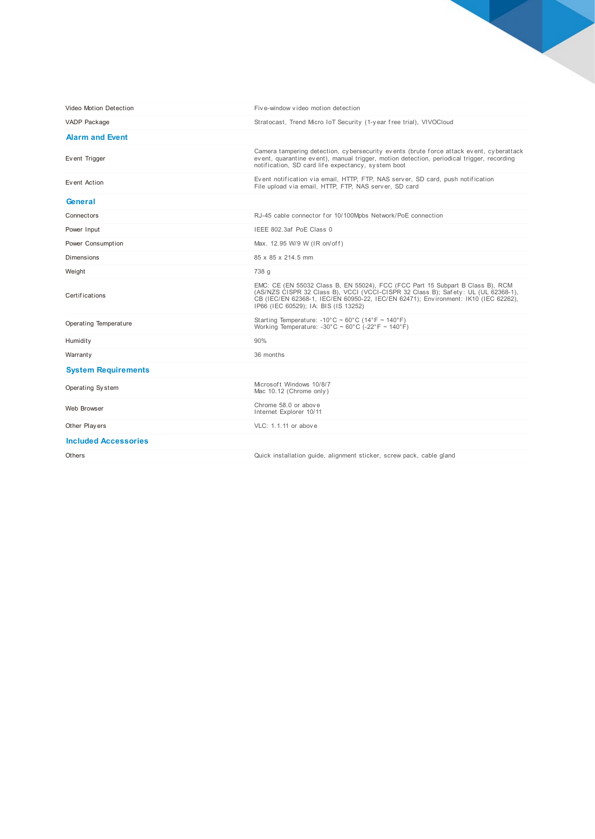| Video Motion Detection      | Five-window video motion detection                                                                                                                                                                                                                                                                |
|-----------------------------|---------------------------------------------------------------------------------------------------------------------------------------------------------------------------------------------------------------------------------------------------------------------------------------------------|
| VADP Package                | Stratocast, Trend Micro IoT Security (1-year free trial), VIVOCloud                                                                                                                                                                                                                               |
| <b>Alarm and Event</b>      |                                                                                                                                                                                                                                                                                                   |
| Event Trigger               | Camera tampering detection, cybersecurity events (brute force attack event, cyberattack<br>event, quarantine event), manual trigger, motion detection, periodical trigger, recording<br>notification, SD card life expectancy, system boot                                                        |
| Event Action                | Event notification via email, HTTP, FTP, NAS server, SD card, push notification<br>File upload via email, HTTP, FTP, NAS server, SD card                                                                                                                                                          |
| General                     |                                                                                                                                                                                                                                                                                                   |
| Connectors                  | RJ-45 cable connector for 10/100Mpbs Network/PoE connection                                                                                                                                                                                                                                       |
| Power Input                 | IEEE 802.3af PoE Class 0                                                                                                                                                                                                                                                                          |
| Power Consumption           | Max. 12.95 W/9 W (IR on/off)                                                                                                                                                                                                                                                                      |
| Dimensions                  | 85 x 85 x 214.5 mm                                                                                                                                                                                                                                                                                |
| Weight                      | 738 g                                                                                                                                                                                                                                                                                             |
| <b>Certifications</b>       | EMC: CE (EN 55032 Class B, EN 55024), FCC (FCC Part 15 Subpart B Class B), RCM<br>(AS/NZS CISPR 32 Class B), VCCI (VCCI-CISPR 32 Class B); Safety: UL (UL 62368-1),<br>CB (IEC/EN 62368-1, IEC/EN 60950-22, IEC/EN 62471); Environment: IK10 (IEC 62262),<br>IP66 (IEC 60529); IA: BIS (IS 13252) |
| Operating Temperature       | Starting Temperature: -10°C ~ 60°C (14°F ~ 140°F)<br>Working Temperature: $-30^{\circ}$ C ~ 60°C ( $-22^{\circ}$ F ~ 140°F)                                                                                                                                                                       |
| Humidity                    | 90%                                                                                                                                                                                                                                                                                               |
| Warranty                    | 36 months                                                                                                                                                                                                                                                                                         |
| <b>System Requirements</b>  |                                                                                                                                                                                                                                                                                                   |
| Operating System            | Microsoft Windows 10/8/7<br>Mac 10.12 (Chrome only)                                                                                                                                                                                                                                               |
| Web Browser                 | Chrome 58.0 or above<br>Internet Explorer 10/11                                                                                                                                                                                                                                                   |
| Other Players               | VLC: 1.1.11 or above                                                                                                                                                                                                                                                                              |
| <b>Included Accessories</b> |                                                                                                                                                                                                                                                                                                   |
| Others                      | Quick installation quide, alignment sticker, screw pack, cable gland                                                                                                                                                                                                                              |